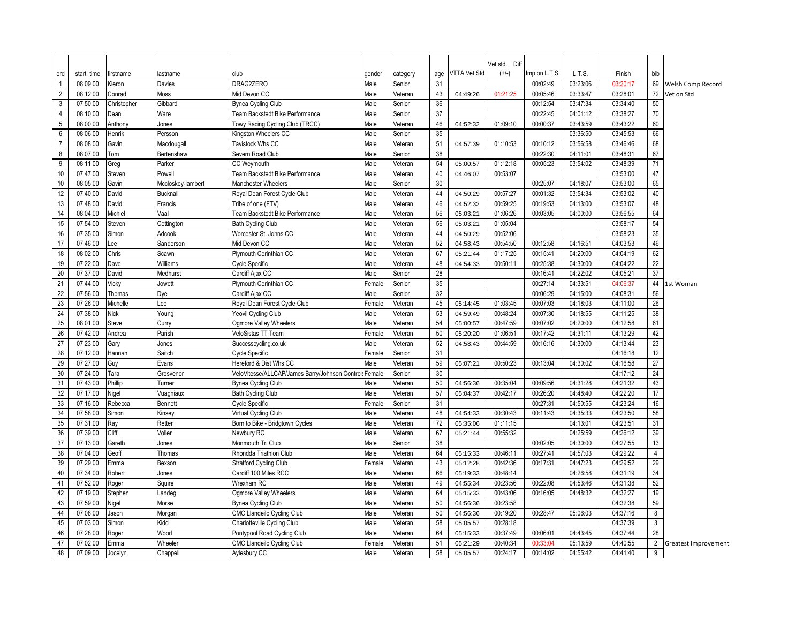|                  |                      |                  |                   |                                                        |                |                    |          |                      | Vet std. Diff        |                      |                      |                      |                      |                      |
|------------------|----------------------|------------------|-------------------|--------------------------------------------------------|----------------|--------------------|----------|----------------------|----------------------|----------------------|----------------------|----------------------|----------------------|----------------------|
| ord              | start time           | firstname        | lastname          | club                                                   | gender         | category           | age      | <b>VTTA Vet Std</b>  | $(+/-)$              | Imp on L.T.S.        | L.T.S.               | Finish               | bib                  |                      |
|                  | 08:09:00             | Kieron           | Davies            | DRAG2ZERO                                              | Male           | Senior             | 31       |                      |                      | 00:02:49             | 03:23:06             | 03:20:17             |                      | 69 Welsh Comp Record |
| $\overline{2}$   | 08:12:00             | Conrad           | Moss              | Mid Devon CC                                           | Male           | Veteran            | 43       | 04:49:26             | 01:21:25             | 00:05:46             | 03:33:47             | 03:28:01             | 72                   | Vet on Std           |
| $\mathbf{3}$     | 07:50:00             | Christopher      | Gibbard           | Bynea Cycling Club                                     | Male           | Senior             | 36       |                      |                      | 00:12:54             | 03:47:34             | 03:34:40             | 50                   |                      |
| $\overline{4}$   | 08:10:00             | Dean             | Ware              | Team Backstedt Bike Performance                        | Male           | Senior             | 37       |                      |                      | 00:22:45             | 04:01:12             | 03:38:27             | 70                   |                      |
| 5                | 08:00:00             | Anthony          | Jones             | Towy Racing Cycling Club (TRCC)                        | Male           | Veteran            | 46       | 04:52:32             | 01:09:10             | 00:00:37             | 03:43:59             | 03:43:22             | 60                   |                      |
| 6                | 08:06:00             | Henrik           | Persson           | Kingston Wheelers CC                                   | Male           | Senior             | 35       |                      |                      |                      | 03:36:50             | 03:45:53             | 66                   |                      |
| $\overline{7}$   | 08:08:00             | Gavin            | Macdougall        | Tavistock Whs CC                                       | Male           | Veteran            | 51       | 04:57:39             | 01:10:53             | 00:10:12             | 03:56:58             | 03:46:46             | 68                   |                      |
| 8                | 08:07:00             | Tom              | Bertenshaw        | Severn Road Club                                       | Male           | Senior             | 38       |                      |                      | 00:22:30             | 04:11:01             | 03:48:31             | 67                   |                      |
| $\boldsymbol{9}$ | 08:11:00             | Greg             | Parker            | CC Weymouth                                            | Male           | Veteran            | 54       | 05:00:57             | 01:12:18             | 00:05:23             | 03:54:02             | 03:48:39             | 71                   |                      |
| 10               | 07:47:00             | Steven           | Powell            | Team Backstedt Bike Performance                        | Male           | Veteran            | 40       | 04:46:07             | 00:53:07             |                      |                      | 03:53:00             | 47                   |                      |
| 10               | 08:05:00             | Gavin            | Mccloskey-lambert | <b>Manchester Wheelers</b>                             | Male           | Senior             | 30       |                      |                      | 00:25:07             | 04:18:07             | 03:53:00             | 65                   |                      |
| 12               | 07:40:00             | David            | <b>Bucknall</b>   | Royal Dean Forest Cycle Club                           | Male           | Veteran            | 44       | 04:50:29             | 00:57:27             | 00:01:32             | 03:54:34             | 03:53:02             | 40                   |                      |
| 13               | 07:48:00             | David            | Francis           | Tribe of one (FTV)                                     | Male           | Veteran            | 46       | 04:52:32             | 00:59:25             | 00:19:53             | 04:13:00             | 03:53:07             | 48                   |                      |
| 14               | 08:04:00             | Michiel          | Vaal              | Team Backstedt Bike Performance                        | Male           | Veteran            | 56       | 05:03:21             | 01:06:26             | 00:03:05             | 04:00:00             | 03:56:55             | 64                   |                      |
| 15               | 07:54:00             | Steven           | Cottington        | <b>Bath Cycling Club</b>                               | Male           | Veteran            | 56       | 05:03:21             | 01:05:04             |                      |                      | 03:58:17             | 54                   |                      |
| 16               | 07:35:00             | Simon            | Adcook            | Worcester St. Johns CC                                 | Male           | Veteran            | 44       | 04:50:29             | 00:52:06             |                      |                      | 03:58:23             | 35                   |                      |
| 17               | 07:46:00             | Lee              | Sanderson         | Mid Devon CC                                           | Male           | Veteran            | 52       | 04:58:43             | 00:54:50             | 00:12:58             | 04:16:51             | 04:03:53             | 46                   |                      |
| 18               | 08:02:00             | Chris            | Scawn             | Plymouth Corinthian CC                                 | Male           | Veteran            | 67       | 05:21:44             | 01:17:25             | 00:15:41             | 04:20:00             | 04:04:19             | 62                   |                      |
| 19               | 07:22:00             | Dave             | Williams          | Cycle Specific                                         | Male           | Veteran            | 48       | 04:54:33             | 00:50:11             | 00:25:38             | 04:30:00             | 04:04:22             | 22                   |                      |
| 20               | 07:37:00             | David            | Medhurst          | Cardiff Ajax CC                                        | Male           | Senior             | 28       |                      |                      | 00:16:41             | 04:22:02             | 04:05:21             | 37                   |                      |
| 21               | 07:44:00             | Vicky            | Jowett            | Plymouth Corinthian CC                                 | Female         | Senior             | 35       |                      |                      | 00:27:14             | 04:33:51             | 04:06:37             | 44                   | 1st Woman            |
| 22               | 07:56:00             | Thomas           | Dye               | Cardiff Ajax CC                                        | Male           | Senior             | 32       |                      |                      | 00:06:29             | 04:15:00             | 04:08:31             | 56                   |                      |
| 23               | 07:26:00             | Michelle         | Lee               | Royal Dean Forest Cycle Club                           | Female         | Veteran            | 45       | 05:14:45             | 01:03:45             | 00:07:03             | 04:18:03             | 04:11:00             | 26                   |                      |
| 24               | 07:38:00             | Nick             | Young             | Yeovil Cycling Club                                    | Male           | Veteran            | 53       | 04:59:49             | 00:48:24             | 00:07:30             | 04:18:55             | 04:11:25             | 38                   |                      |
| 25               | 08:01:00             | Steve            | Curry             | Ogmore Valley Wheelers                                 | Male           | Veteran            | 54       | 05:00:57             | 00:47:59             | 00:07:02             | 04:20:00             | 04:12:58             | 61                   |                      |
| 26               | 07:42:00             | Andrea           | Parish            | VeloSistas TT Team                                     | Female         | Veteran            | 50       | 05:20:20             | 01:06:51             | 00:17:42             | 04:31:11             | 04:13:29             | 42                   |                      |
| 27               | 07:23:00             | Gary             | Jones             | Successcycling.co.uk                                   | Male           | Veteran            | 52       | 04:58:43             | 00:44:59             | 00:16:16             | 04:30:00             | 04:13:44             | 23                   |                      |
| 28               | 07:12:00             | Hannah           | Saitch            | Cycle Specific                                         | Female         | Senior             | 31       |                      |                      |                      |                      | 04:16:18             | 12                   |                      |
| 29               | 07:27:00             | Guy              | Evans             | Hereford & Dist Whs CC                                 | Male           | Veteran            | 59       | 05:07:21             | 00:50:23             | 00:13:04             | 04:30:02             | 04:16:58             | 27                   |                      |
| 30               | 07:24:00             | Tara             | Grosvenor         | VeloVitesse/ALLCAP/James Barry/Johnson Control         | Female         | Senior             | 30       |                      |                      |                      |                      | 04:17:12             | 24                   |                      |
| 31               | 07:43:00             | Phillip          | Turner            | Bynea Cycling Club                                     | Male           | Veteran            | 50       | 04:56:36             | 00:35:04             | 00:09:56             | 04:31:28             | 04:21:32             | 43                   |                      |
| 32               | 07:17:00             | Nigel            | Vuagniaux         | <b>Bath Cycling Club</b>                               | Male           | Veteran            | 57       | 05:04:37             | 00:42:17             | 00:26:20             | 04:48:40             | 04:22:20             | 17                   |                      |
| 33               | 07:16:00             | Rebecca          | Bennett           | Cycle Specific                                         | Female         | Senior             | 31       |                      |                      | 00:27:31             | 04:50:55             | 04:23:24             | 16                   |                      |
| 34               | 07:58:00             | Simon            | Kinsey            | Virtual Cycling Club                                   | Male           | Veteran            | 48       | 04:54:33             | 00:30:43             | 00:11:43             | 04:35:33             | 04:23:50             | 58                   |                      |
| 35               | 07:31:00             | Ray              | Retter            | Born to Bike - Bridgtown Cycles                        | Male           | Veteran            | 72       | 05:35:06             | 01:11:15             |                      | 04:13:01             | 04:23:51             | 31                   |                      |
| 36               | 07:39:00             | Cliff            | Voller            | Newbury RC                                             | Male           | Veteran            | 67<br>38 | 05:21:44             | 00:55:32             |                      | 04:25:59             | 04:26:12             | 39                   |                      |
| 37               | 07:13:00             | Gareth           | Jones             | Monmouth Tri Club                                      | Male           | Senior             |          |                      |                      | 00:02:05             | 04:30:00             | 04:27:55             | 13                   |                      |
| 38<br>39         | 07:04:00             | Geoff            | Thomas            | Rhondda Triathlon Club                                 | Male           | Veteran            | 64<br>43 | 05:15:33             | 00:46:11             | 00:27:41<br>00:17:31 | 04:57:03             | 04:29:22             | $\overline{4}$<br>29 |                      |
| 40               | 07:29:00<br>07:34:00 | Emma<br>Robert   | Bexson            | <b>Stratford Cycling Club</b><br>Cardiff 100 Miles RCC | Female<br>Male | Veteran            | 66       | 05:12:28<br>05:19:33 | 00:42:36<br>00:48:14 |                      | 04:47:23<br>04:26:58 | 04:29:52<br>04:31:19 | 34                   |                      |
| 41               | 07:52:00             |                  | Jones<br>Squire   | Wrexham RC                                             | Male           | Veteran<br>Veteran | 49       | 04:55:34             | 00:23:56             | 00:22:08             | 04:53:46             | 04:31:38             | 52                   |                      |
| 42               | 07:19:00             | Roger            |                   | Ogmore Valley Wheelers                                 | Male           | Veteran            | 64       | 05:15:33             | 00:43:06             | 00:16:05             | 04:48:32             | 04:32:27             | 19                   |                      |
| 43               | 07:59:00             | Stephen<br>Nigel | Landeg<br>Morse   | Bynea Cycling Club                                     | Male           | Veteran            | 50       | 04:56:36             | 00:23:58             |                      |                      | 04:32:38             | 59                   |                      |
| 44               | 07:08:00             | Jason            | Morgan            | CMC Llandeilo Cycling Club                             | Male           | Veteran            | 50       | 04:56:36             | 00:19:20             | 00:28:47             | 05:06:03             | 04:37:16             | 8                    |                      |
| 45               | 07:03:00             | Simon            | Kidd              | Charlotteville Cycling Club                            | Male           | Veteran            | 58       | 05:05:57             | 00:28:18             |                      |                      | 04:37:39             | $\mathbf{3}$         |                      |
| 46               | 07:28:00             | Roger            | Wood              | Pontypool Road Cycling Club                            | Male           | Veteran            | 64       | 05:15:33             | 00:37:49             | 00:06:01             | 04:43:45             | 04:37:44             | 28                   |                      |
| 47               | 07:02:00             | Emma             | Wheeler           | <b>CMC Llandeilo Cycling Club</b>                      | Female         | Veteran            | 51       | 05:21:29             | 00:40:34             | 00:33:04             | 05:13:59             | 04:40:55             | $\overline{2}$       | Greatest Improvement |
| 48               | 07:09:00             | Jocelyn          | Chappell          | Aylesbury CC                                           | Male           | Veteran            | 58       | 05:05:57             | 00:24:17             | 00:14:02             | 04:55:42             | 04:41:40             | 9                    |                      |
|                  |                      |                  |                   |                                                        |                |                    |          |                      |                      |                      |                      |                      |                      |                      |